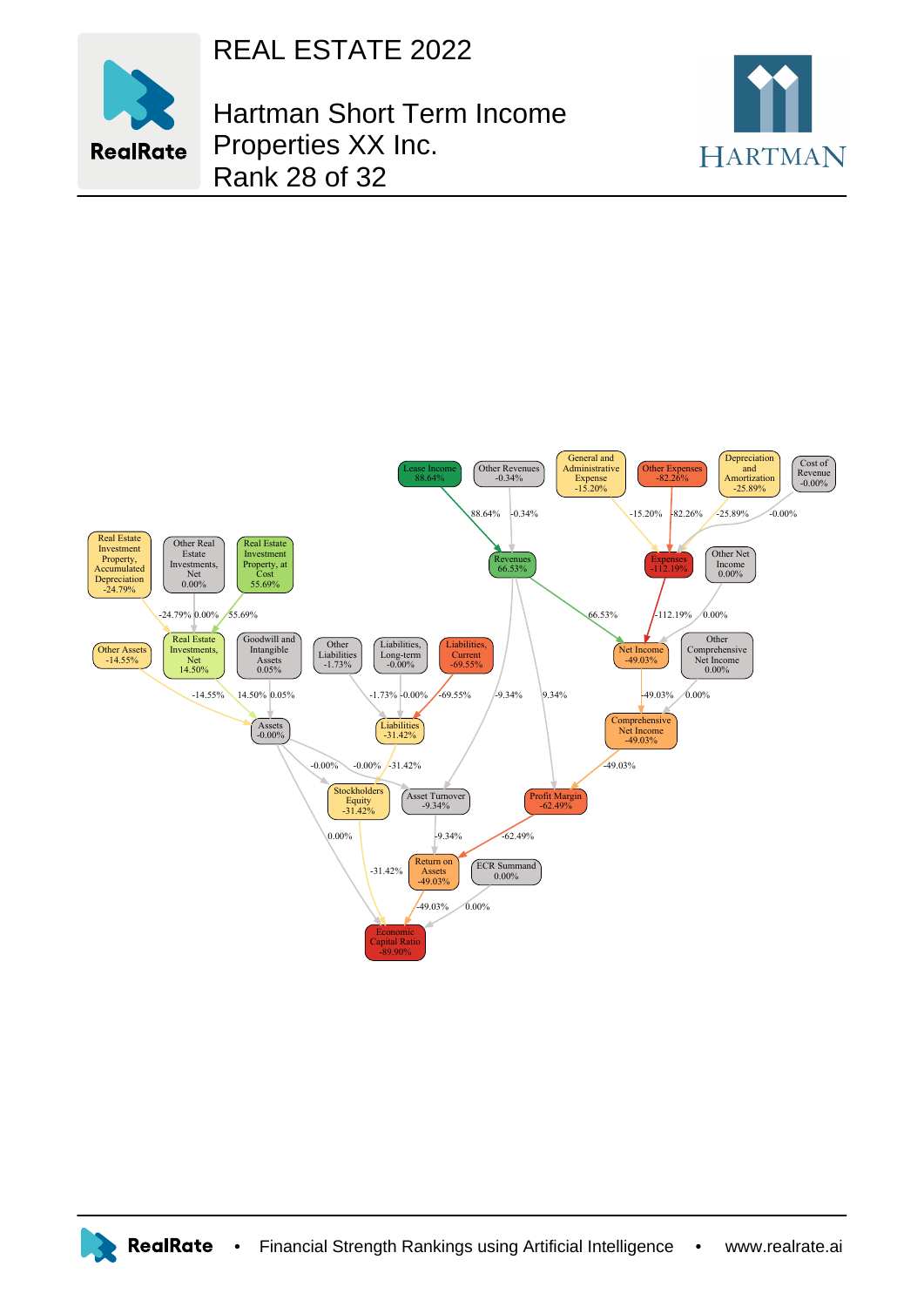



Hartman Short Term Income Properties XX Inc. Rank 28 of 32